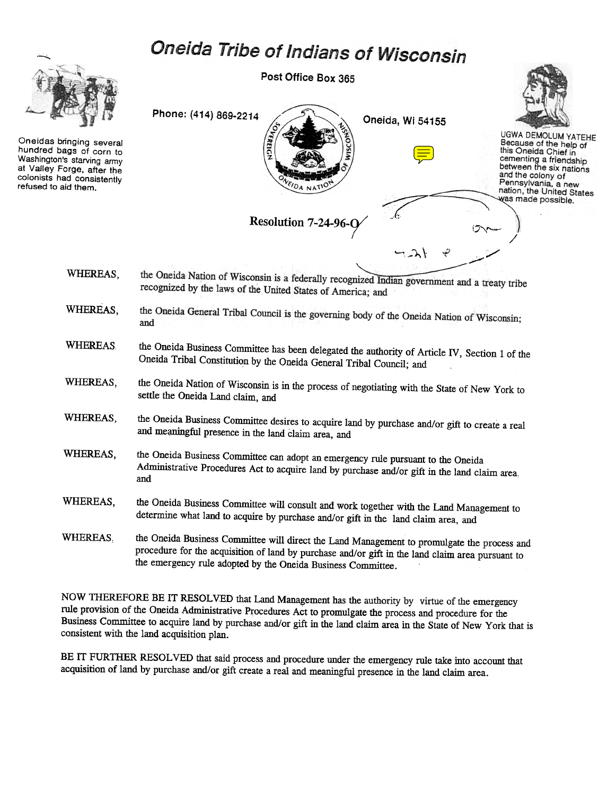## Oneida Tribe of Indians of Wisconsin



Oneidas bringing several hundred bags of corn to Washington's starving army at Valley Forge. after the colonists had consistently refused to aid them.

Post Office Box 365



- the Oneida Nation of Wisconsin is a federally recognized Indian government and a treaty tribe WHEREAS, recognized by the laws of the United States of America; and
- the Oneida General Tribal Council is the governing body of the Oneida Nation of Wisconsin; WHEREAS, and
- WHEREAS the Oneida Business Committee has been delegated the authority of Article IV, Section 1 of the Oneida Tribal Constitution by the Oneida General Tribal Council; and
- WHEREAS, the Oneida Nation of Wisconsin is in the process of negotiating with the State of New York to settle the Oneida Land claim, and
- WHEREAS, the Oneida Business Committee desires to acquire land by purchase and/or gift to create a real and meaningful presence in the land claim area, and
- WHEREAS, the Oneida Business Committee can adopt an emergency rule pursuant to the Oneida Administrative Procedures Act to acquire land by purchase and/or gift in the land claim area, and
- WHEREAS, the Oneida Business Committee will consult and work together with the Land Management to determine what land to acquire by purchase and/or gift in the land claim area, and
- WHEREAS, the Oneida Business Committee will direct the Land Management to promulgate the process and procedure for the acquisition of land by purchase and/or gift in the land claim area pursuant to the emergency rule adopted by the Oneida Business Committee.

NOW THEREFORE BE IT RESOLVED that Land Management has the authority by virtue of the emergency rule provision of the Oneida Administrative Procedures Act to promulgate the process and procedure for the Business Committee to acquire land by purchase and/or gift in the land claim area in the State of New York that is consistent with the land acquisition plan.

BE IT FURTHER RESOLVED that said process and procedure under the emergency rule take into account that acquisition of land by purchase and/or gift create a real and meaningful presence in the land claim area.